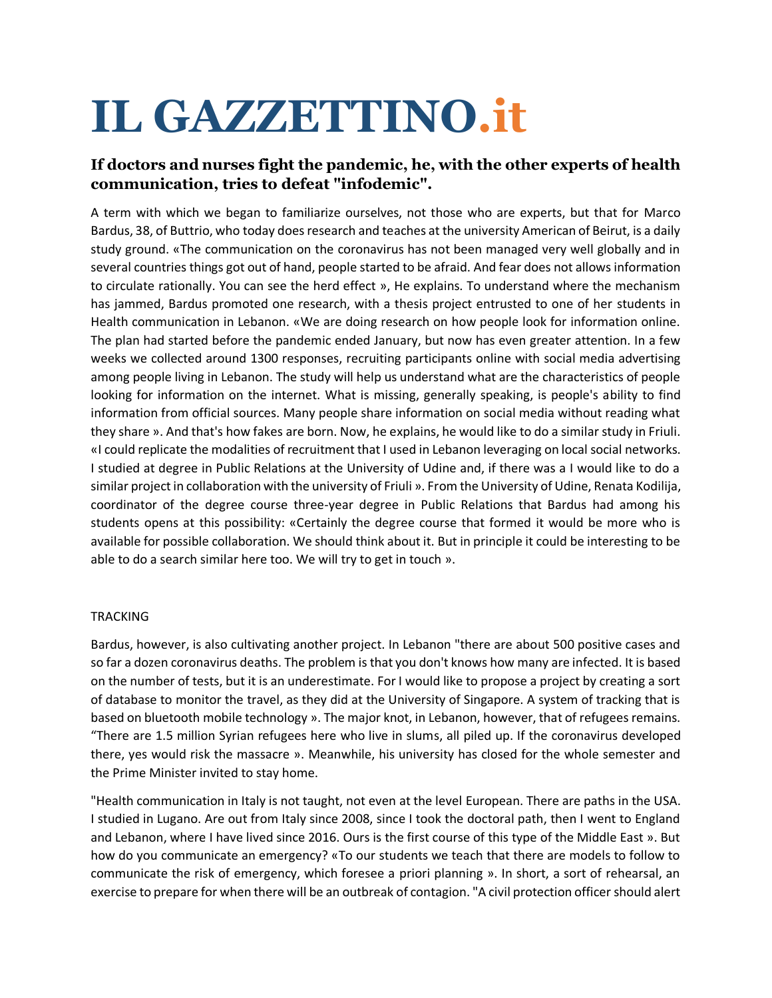## **IL GAZZETTINO.it**

## **If doctors and nurses fight the pandemic, he, with the other experts of health communication, tries to defeat "infodemic".**

A term with which we began to familiarize ourselves, not those who are experts, but that for Marco Bardus, 38, of Buttrio, who today does research and teaches at the university American of Beirut, is a daily study ground. «The communication on the coronavirus has not been managed very well globally and in several countries things got out of hand, people started to be afraid. And fear does not allows information to circulate rationally. You can see the herd effect », He explains. To understand where the mechanism has jammed, Bardus promoted one research, with a thesis project entrusted to one of her students in Health communication in Lebanon. «We are doing research on how people look for information online. The plan had started before the pandemic ended January, but now has even greater attention. In a few weeks we collected around 1300 responses, recruiting participants online with social media advertising among people living in Lebanon. The study will help us understand what are the characteristics of people looking for information on the internet. What is missing, generally speaking, is people's ability to find information from official sources. Many people share information on social media without reading what they share ». And that's how fakes are born. Now, he explains, he would like to do a similar study in Friuli. «I could replicate the modalities of recruitment that I used in Lebanon leveraging on local social networks. I studied at degree in Public Relations at the University of Udine and, if there was a I would like to do a similar project in collaboration with the university of Friuli ». From the University of Udine, Renata Kodilija, coordinator of the degree course three-year degree in Public Relations that Bardus had among his students opens at this possibility: «Certainly the degree course that formed it would be more who is available for possible collaboration. We should think about it. But in principle it could be interesting to be able to do a search similar here too. We will try to get in touch ».

## **TRACKING**

Bardus, however, is also cultivating another project. In Lebanon "there are about 500 positive cases and so far a dozen coronavirus deaths. The problem is that you don't knows how many are infected. It is based on the number of tests, but it is an underestimate. For I would like to propose a project by creating a sort of database to monitor the travel, as they did at the University of Singapore. A system of tracking that is based on bluetooth mobile technology ». The major knot, in Lebanon, however, that of refugees remains. "There are 1.5 million Syrian refugees here who live in slums, all piled up. If the coronavirus developed there, yes would risk the massacre ». Meanwhile, his university has closed for the whole semester and the Prime Minister invited to stay home.

"Health communication in Italy is not taught, not even at the level European. There are paths in the USA. I studied in Lugano. Are out from Italy since 2008, since I took the doctoral path, then I went to England and Lebanon, where I have lived since 2016. Ours is the first course of this type of the Middle East ». But how do you communicate an emergency? «To our students we teach that there are models to follow to communicate the risk of emergency, which foresee a priori planning ». In short, a sort of rehearsal, an exercise to prepare for when there will be an outbreak of contagion. "A civil protection officer should alert